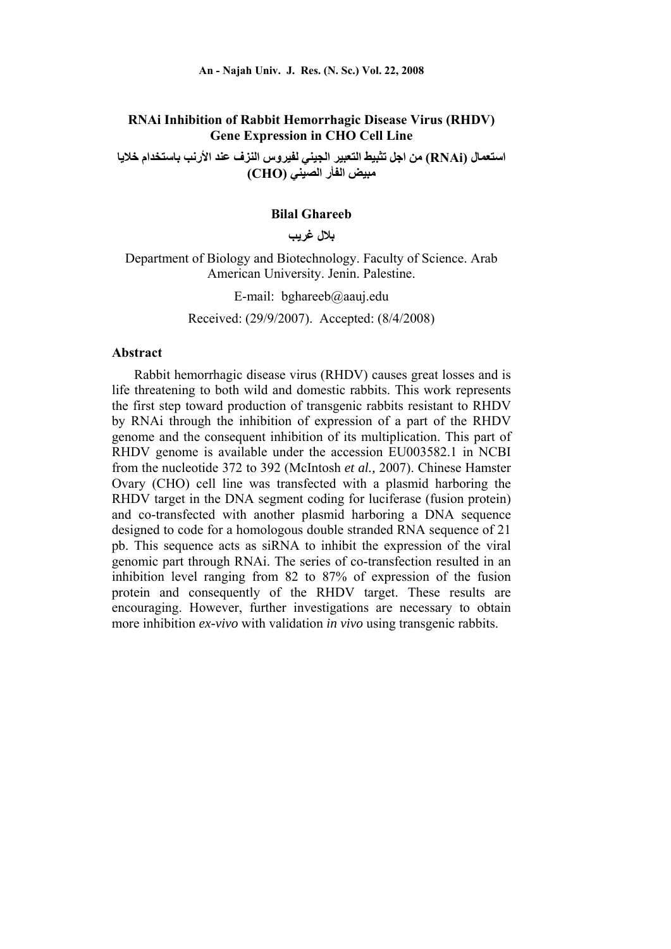## **RNAi Inhibition of Rabbit Hemorrhagic Disease Virus (RHDV) Gene Expression in CHO Cell Line**

**استعمال (RNAi (من اجل تثبيط التعبير الجيني لفيروس النزف عند الأرنب باستخدام خلايا مبيض الفأر الصيني (CHO (**

### **Bilal Ghareeb**

**بلال غريب** 

Department of Biology and Biotechnology. Faculty of Science. Arab American University. Jenin. Palestine.

E-mail: bghareeb@aauj.edu

Received: (29/9/2007). Accepted: (8/4/2008)

#### **Abstract**

Rabbit hemorrhagic disease virus (RHDV) causes great losses and is life threatening to both wild and domestic rabbits. This work represents the first step toward production of transgenic rabbits resistant to RHDV by RNAi through the inhibition of expression of a part of the RHDV genome and the consequent inhibition of its multiplication. This part of RHDV genome is available under the accession EU003582.1 in NCBI from the nucleotide 372 to 392 (McIntosh *et al.,* 2007). Chinese Hamster Ovary (CHO) cell line was transfected with a plasmid harboring the RHDV target in the DNA segment coding for luciferase (fusion protein) and co-transfected with another plasmid harboring a DNA sequence designed to code for a homologous double stranded RNA sequence of 21 pb. This sequence acts as siRNA to inhibit the expression of the viral genomic part through RNAi. The series of co-transfection resulted in an inhibition level ranging from 82 to 87% of expression of the fusion protein and consequently of the RHDV target. These results are encouraging. However, further investigations are necessary to obtain more inhibition *ex-vivo* with validation *in vivo* using transgenic rabbits.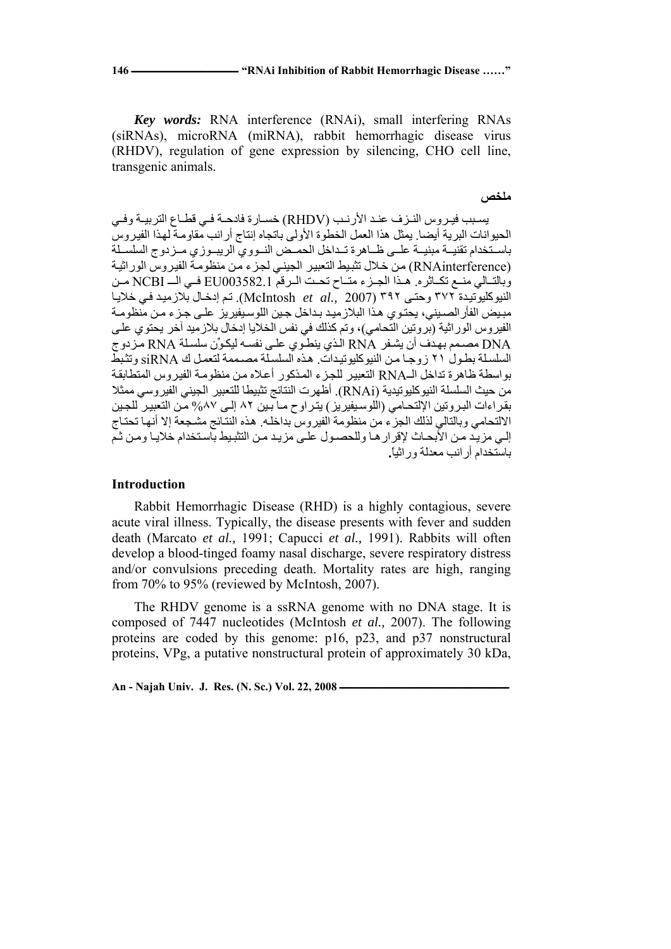*Key words:* RNA interference (RNAi), small interfering RNAs (siRNAs), microRNA (miRNA), rabbit hemorrhagic disease virus (RHDV), regulation of gene expression by silencing, CHO cell line, transgenic animals.

#### **ملخص**

يسبب فيروس النـزف عنـد الأرنـب (RHDV) خسـارة فادحـة فـي قطـاع التربيـة وفـي الحيوانات البرية أيضا. يمثل هذا العمل الخطوة الأولى باتجاه إنتاج أرانب مقاومة لهذا الفيروس باسـتخدام تقنيــة مبنيــة علــي ظــاهرة تـداخل الحمـض النــووي الريبــوزي مــزدوج السلسـلة (RNAinterference) من خلال تثبيط التعبير الجيني لجزء من منظومهٔ الفيروس الوراثية وبالتالي منـع تكـاثره. هـذا الجـزء متـاح تحـت الـرقم EU003582.1 فـي الــ NCBI مـن النيوكليوتيدة ٣٧٢ وحتى ٣٩٢ (2007 *.McIntosh et al.* تم إدخال بلازميد في خلايا مبيض الفأر الصيني، يحتوي هذا البلازميد بداخل جين اللوسيفيريز على جزء من منظومة الفيروس الوراثية (بروتين التّحامي)، وتم كذلك في نفس الخلايا إدخال بلازميد آخر يحتوي على DNA مصѧمم بهѧدف أن يشѧفر RNA الѧذي ينطѧوي علѧى نفسѧه ليكѧوِّن سلسѧلة RNA مѧزدوج السلسلة بطول ٢١ زوجا من النيوكليوتيدات. هذه السلسلة مصـممة لتعمل ك siRNA وتثبط بواسطة ظاهرة تداخل الـRNA التعبير للجزء المذكور أعلاه من منظومة الفيروس المتطابقة من حيث السلسلة النيوكليوتيدية (RNAi). أظهرت النتائج تثبيطا للتعبير الجيني الفيروسي ممثلا بقراءات البروتين الإلتحامي (اللوسيفيريز) يتراوح مـا بـين ٨٢ إلـي ٨٧% مـن التعبير للجـين الالتحامي وبالتالي لذلك الجزء من منظومة الفيروس بداخله. هذه النتائج مشجعة إلا أنها تحتـاج إلى مزيد من الأبحاث لإقرارها وللحصول على مزيد من التثبيط باستخدام خلايا ومن ثم باستخدام أرانب معدلة وراثيا**.**ً

### **Introduction**

Rabbit Hemorrhagic Disease (RHD) is a highly contagious, severe acute viral illness. Typically, the disease presents with fever and sudden death (Marcato *et al.,* 1991; Capucci *et al.,* 1991). Rabbits will often develop a blood-tinged foamy nasal discharge, severe respiratory distress and/or convulsions preceding death. Mortality rates are high, ranging from 70% to 95% (reviewed by McIntosh, 2007).

The RHDV genome is a ssRNA genome with no DNA stage. It is composed of 7447 nucleotides (McIntosh *et al.,* 2007). The following proteins are coded by this genome: p16, p23, and p37 nonstructural proteins, VPg, a putative nonstructural protein of approximately 30 kDa,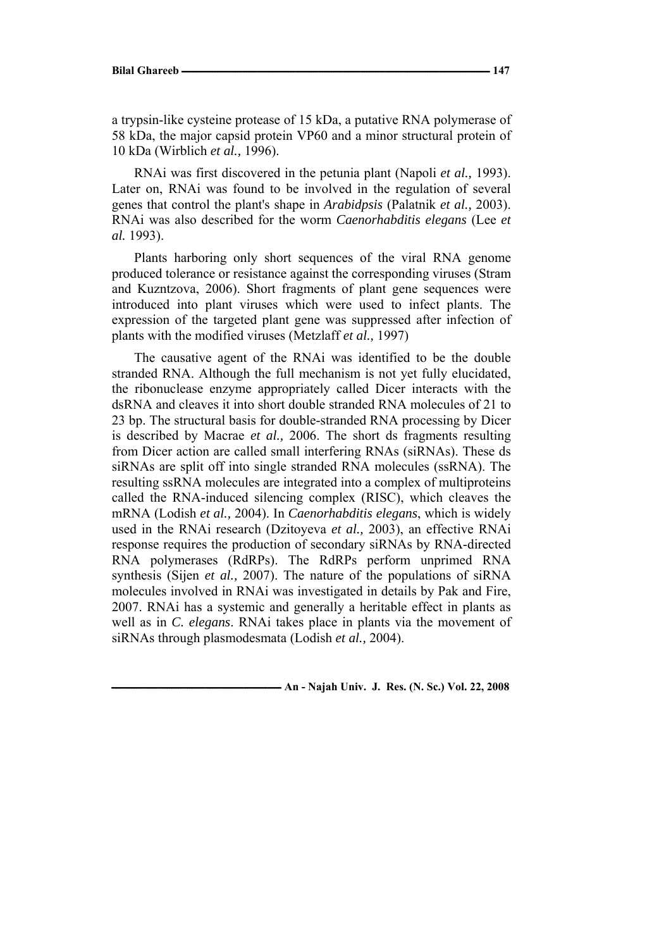a trypsin-like cysteine protease of 15 kDa, a putative RNA polymerase of 58 kDa, the major capsid protein VP60 and a minor structural protein of 10 kDa (Wirblich *et al.,* 1996).

RNAi was first discovered in the petunia plant (Napoli *et al.,* 1993). Later on, RNAi was found to be involved in the regulation of several genes that control the plant's shape in *Arabidpsis* (Palatnik *et al.,* 2003). RNAi was also described for the worm *Caenorhabditis elegans* (Lee *et al.* 1993).

Plants harboring only short sequences of the viral RNA genome produced tolerance or resistance against the corresponding viruses (Stram and Kuzntzova, 2006). Short fragments of plant gene sequences were introduced into plant viruses which were used to infect plants. The expression of the targeted plant gene was suppressed after infection of plants with the modified viruses (Metzlaff *et al.,* 1997)

The causative agent of the RNAi was identified to be the double stranded RNA. Although the full mechanism is not yet fully elucidated, the ribonuclease enzyme appropriately called Dicer interacts with the dsRNA and cleaves it into short double stranded RNA molecules of 21 to 23 bp. The structural basis for double-stranded RNA processing by Dicer is described by Macrae *et al.,* 2006. The short ds fragments resulting from Dicer action are called small interfering RNAs (siRNAs). These ds siRNAs are split off into single stranded RNA molecules (ssRNA). The resulting ssRNA molecules are integrated into a complex of multiproteins called the RNA-induced silencing complex (RISC), which cleaves the mRNA (Lodish *et al.,* 2004). In *Caenorhabditis elegans*, which is widely used in the RNAi research (Dzitoyeva *et al.,* 2003), an effective RNAi response requires the production of secondary siRNAs by RNA-directed RNA polymerases (RdRPs). The RdRPs perform unprimed RNA synthesis (Sijen *et al.,* 2007). The nature of the populations of siRNA molecules involved in RNAi was investigated in details by Pak and Fire, 2007. RNAi has a systemic and generally a heritable effect in plants as well as in *C. elegans*. RNAi takes place in plants via the movement of siRNAs through plasmodesmata (Lodish *et al.,* 2004).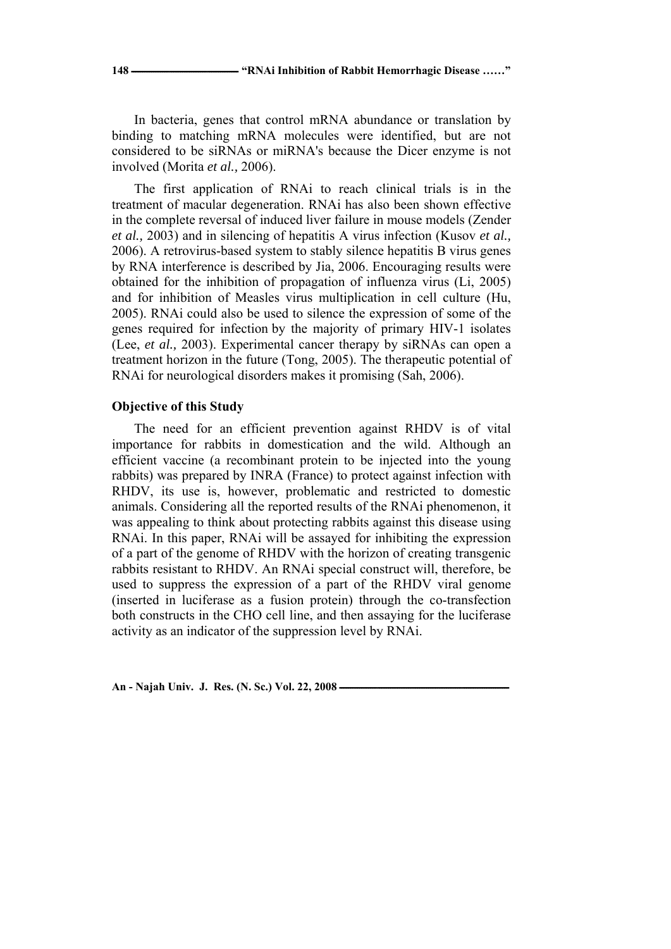In bacteria, genes that control mRNA abundance or translation by binding to matching mRNA molecules were identified, but are not considered to be siRNAs or miRNA's because the Dicer enzyme is not involved (Morita *et al.,* 2006).

The first application of RNAi to reach clinical trials is in the treatment of macular degeneration. RNAi has also been shown effective in the complete reversal of induced liver failure in mouse models (Zender *et al.,* 2003) and in silencing of hepatitis A virus infection (Kusov *et al.,* 2006). A retrovirus-based system to stably silence hepatitis B virus genes by RNA interference is described by Jia, 2006. Encouraging results were obtained for the inhibition of propagation of influenza virus (Li, 2005) and for inhibition of Measles virus multiplication in cell culture (Hu, 2005). RNAi could also be used to silence the expression of some of the genes required for infection by the majority of primary HIV-1 isolates (Lee, *et al.,* 2003). Experimental cancer therapy by siRNAs can open a treatment horizon in the future (Tong, 2005). The therapeutic potential of RNAi for neurological disorders makes it promising (Sah, 2006).

### **Objective of this Study**

The need for an efficient prevention against RHDV is of vital importance for rabbits in domestication and the wild. Although an efficient vaccine (a recombinant protein to be injected into the young rabbits) was prepared by INRA (France) to protect against infection with RHDV, its use is, however, problematic and restricted to domestic animals. Considering all the reported results of the RNAi phenomenon, it was appealing to think about protecting rabbits against this disease using RNAi. In this paper, RNAi will be assayed for inhibiting the expression of a part of the genome of RHDV with the horizon of creating transgenic rabbits resistant to RHDV. An RNAi special construct will, therefore, be used to suppress the expression of a part of the RHDV viral genome (inserted in luciferase as a fusion protein) through the co-transfection both constructs in the CHO cell line, and then assaying for the luciferase activity as an indicator of the suppression level by RNAi.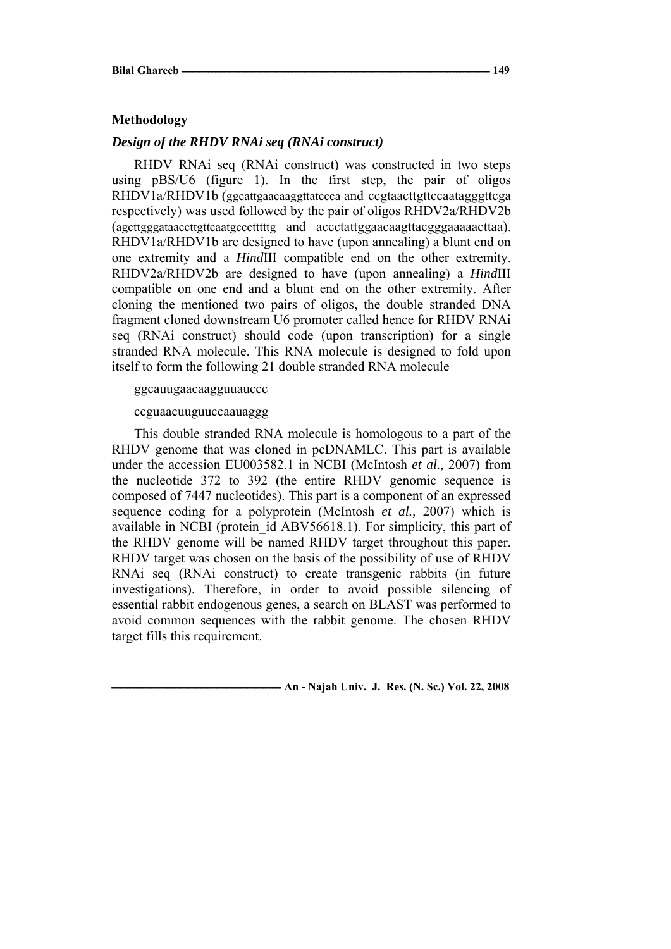### **Methodology**

### *Design of the RHDV RNAi seq (RNAi construct)*

RHDV RNAi seq (RNAi construct) was constructed in two steps using pBS/U6 (figure 1). In the first step, the pair of oligos RHDV1a/RHDV1b (ggcattgaacaaggttatccca and ccgtaacttgttccaatagggttcga respectively) was used followed by the pair of oligos RHDV2a/RHDV2b (agcttgggataaccttgttcaatgccctttttg and accctattggaacaagttacgggaaaaacttaa). RHDV1a/RHDV1b are designed to have (upon annealing) a blunt end on one extremity and a *Hind*III compatible end on the other extremity. RHDV2a/RHDV2b are designed to have (upon annealing) a *Hind*III compatible on one end and a blunt end on the other extremity. After cloning the mentioned two pairs of oligos, the double stranded DNA fragment cloned downstream U6 promoter called hence for RHDV RNAi seq (RNAi construct) should code (upon transcription) for a single stranded RNA molecule. This RNA molecule is designed to fold upon itself to form the following 21 double stranded RNA molecule

ggcauugaacaagguuauccc

ccguaacuuguuccaauaggg

This double stranded RNA molecule is homologous to a part of the RHDV genome that was cloned in pcDNAMLC. This part is available under the accession EU003582.1 in NCBI (McIntosh *et al.,* 2007) from the nucleotide 372 to 392 (the entire RHDV genomic sequence is composed of 7447 nucleotides). This part is a component of an expressed sequence coding for a polyprotein (McIntosh *et al.,* 2007) which is available in NCBI (protein\_id ABV56618.1). For simplicity, this part of the RHDV genome will be named RHDV target throughout this paper. RHDV target was chosen on the basis of the possibility of use of RHDV RNAi seq (RNAi construct) to create transgenic rabbits (in future investigations). Therefore, in order to avoid possible silencing of essential rabbit endogenous genes, a search on BLAST was performed to avoid common sequences with the rabbit genome. The chosen RHDV target fills this requirement.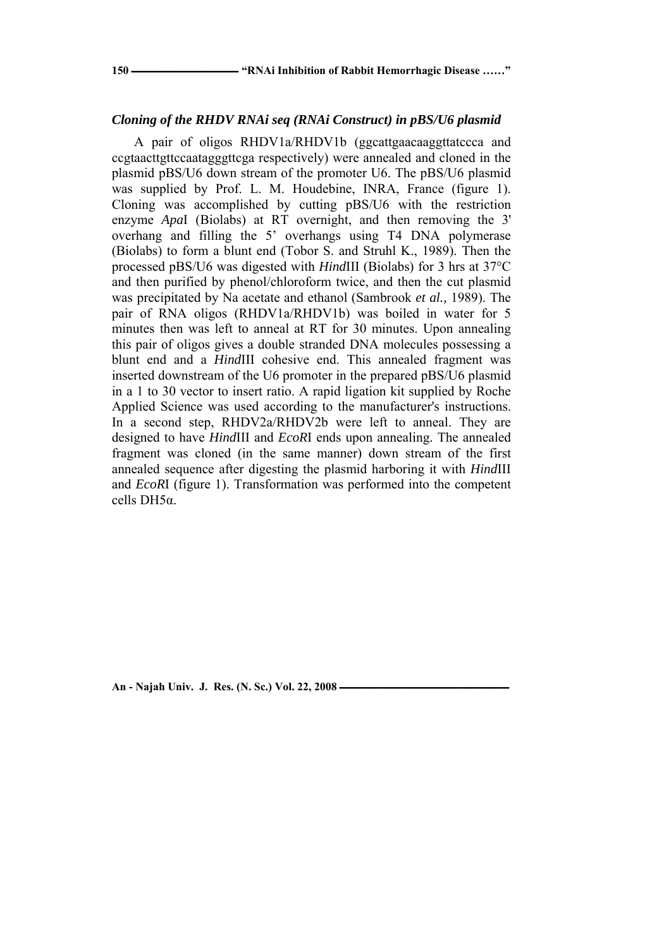### *Cloning of the RHDV RNAi seq (RNAi Construct) in pBS/U6 plasmid*

A pair of oligos RHDV1a/RHDV1b (ggcattgaacaaggttatccca and ccgtaacttgttccaatagggttcga respectively) were annealed and cloned in the plasmid pBS/U6 down stream of the promoter U6. The pBS/U6 plasmid was supplied by Prof. L. M. Houdebine, INRA, France (figure 1). Cloning was accomplished by cutting pBS/U6 with the restriction enzyme *Apa*I (Biolabs) at RT overnight, and then removing the 3' overhang and filling the 5' overhangs using T4 DNA polymerase (Biolabs) to form a blunt end (Tobor S. and Struhl K., 1989). Then the processed pBS/U6 was digested with *Hind*III (Biolabs) for 3 hrs at 37°C and then purified by phenol/chloroform twice, and then the cut plasmid was precipitated by Na acetate and ethanol (Sambrook *et al.,* 1989). The pair of RNA oligos (RHDV1a/RHDV1b) was boiled in water for 5 minutes then was left to anneal at RT for 30 minutes. Upon annealing this pair of oligos gives a double stranded DNA molecules possessing a blunt end and a *Hind*III cohesive end. This annealed fragment was inserted downstream of the U6 promoter in the prepared pBS/U6 plasmid in a 1 to 30 vector to insert ratio. A rapid ligation kit supplied by Roche Applied Science was used according to the manufacturer's instructions. In a second step, RHDV2a/RHDV2b were left to anneal. They are designed to have *Hind*III and *EcoR*I ends upon annealing. The annealed fragment was cloned (in the same manner) down stream of the first annealed sequence after digesting the plasmid harboring it with *Hind*III and *EcoR*I (figure 1). Transformation was performed into the competent cells DH5α.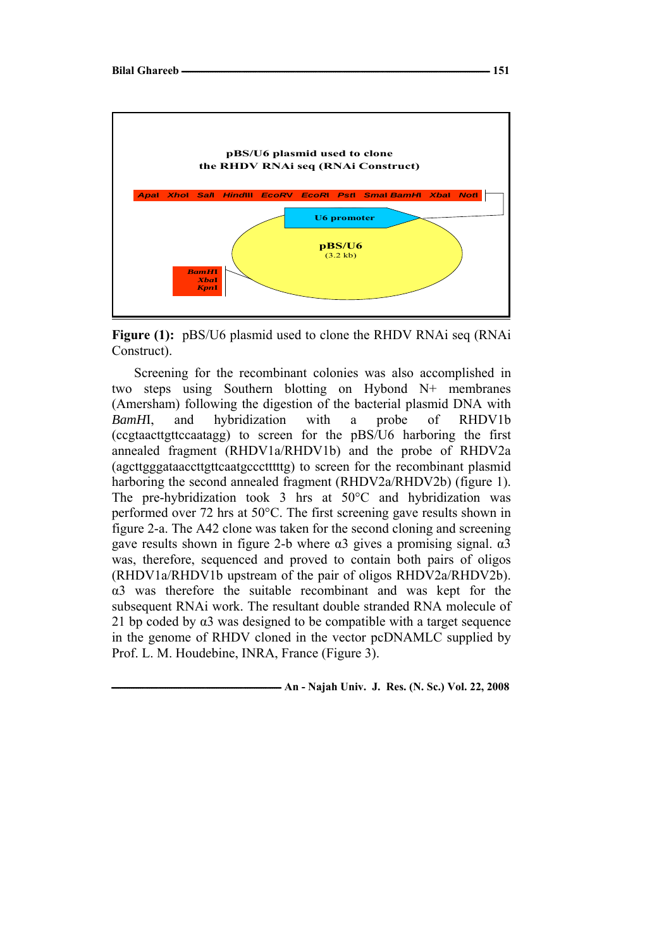

**Figure (1):** pBS/U6 plasmid used to clone the RHDV RNAi seq (RNAi Construct).

Screening for the recombinant colonies was also accomplished in two steps using Southern blotting on Hybond N+ membranes (Amersham) following the digestion of the bacterial plasmid DNA with *BamH*I, and hybridization with a probe of RHDV1b (ccgtaacttgttccaatagg) to screen for the pBS/U6 harboring the first annealed fragment (RHDV1a/RHDV1b) and the probe of RHDV2a (agcttgggataaccttgttcaatgccctttttg) to screen for the recombinant plasmid harboring the second annealed fragment (RHDV2a/RHDV2b) (figure 1). The pre-hybridization took 3 hrs at 50°C and hybridization was performed over 72 hrs at 50°C. The first screening gave results shown in figure 2-a. The A42 clone was taken for the second cloning and screening gave results shown in figure 2-b where  $\alpha$ 3 gives a promising signal.  $\alpha$ 3 was, therefore, sequenced and proved to contain both pairs of oligos (RHDV1a/RHDV1b upstream of the pair of oligos RHDV2a/RHDV2b). α3 was therefore the suitable recombinant and was kept for the subsequent RNAi work. The resultant double stranded RNA molecule of 21 bp coded by  $\alpha$ 3 was designed to be compatible with a target sequence in the genome of RHDV cloned in the vector pcDNAMLC supplied by Prof. L. M. Houdebine, INRA, France (Figure 3).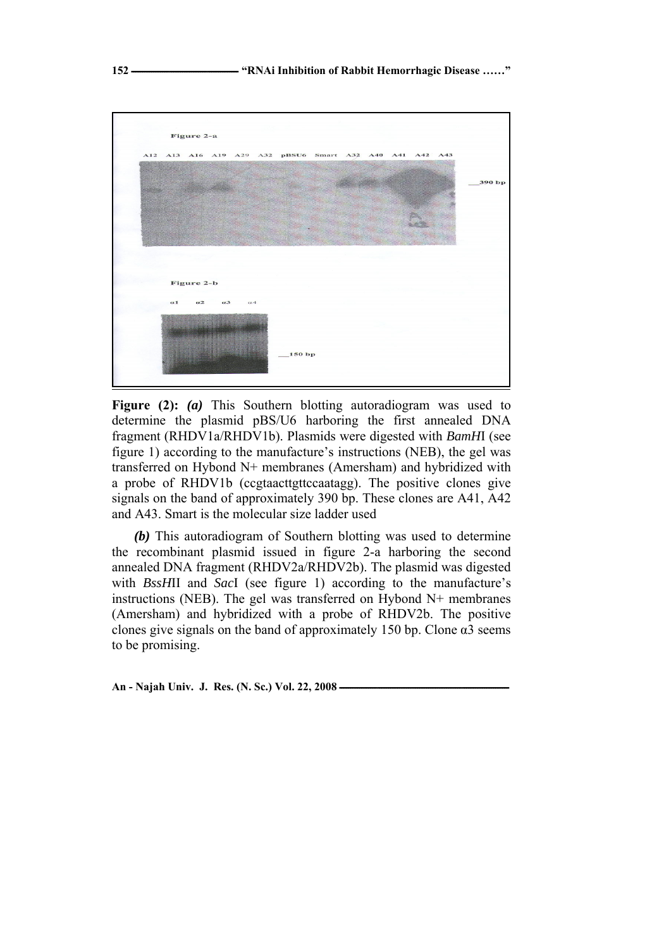

**Figure (2):** *(a)* This Southern blotting autoradiogram was used to determine the plasmid pBS/U6 harboring the first annealed DNA fragment (RHDV1a/RHDV1b). Plasmids were digested with *BamH*I (see figure 1) according to the manufacture's instructions (NEB), the gel was transferred on Hybond N+ membranes (Amersham) and hybridized with a probe of RHDV1b (ccgtaacttgttccaatagg). The positive clones give signals on the band of approximately 390 bp. These clones are A41, A42 and A43. Smart is the molecular size ladder used

*(b)* This autoradiogram of Southern blotting was used to determine the recombinant plasmid issued in figure 2-a harboring the second annealed DNA fragment (RHDV2a/RHDV2b). The plasmid was digested with *BssH*II and *Sac*I (see figure 1) according to the manufacture's instructions (NEB). The gel was transferred on Hybond N+ membranes (Amersham) and hybridized with a probe of RHDV2b. The positive clones give signals on the band of approximately 150 bp. Clone  $\alpha$ 3 seems to be promising.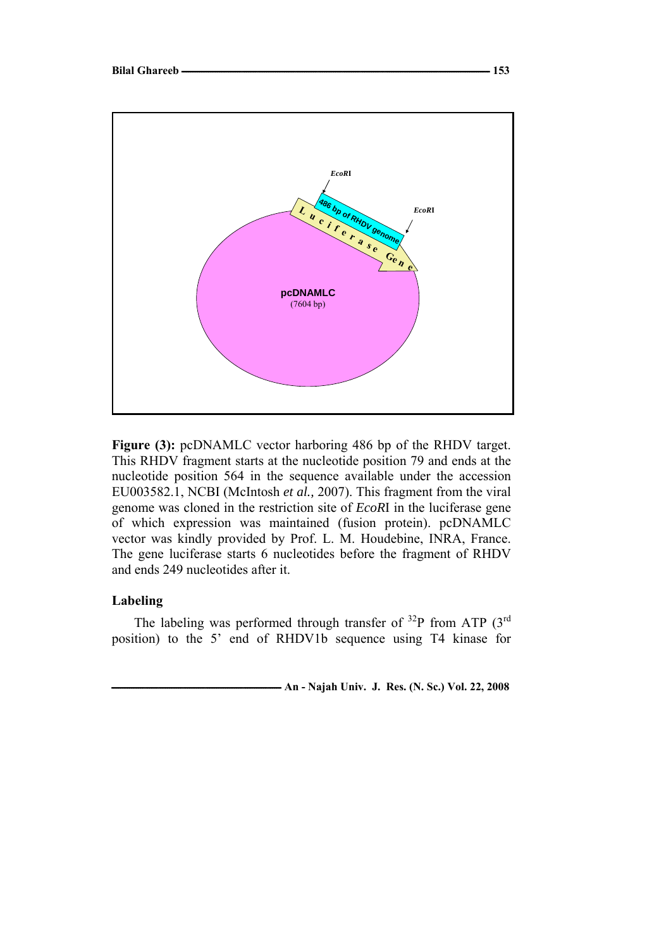

**Figure (3):** pcDNAMLC vector harboring 486 bp of the RHDV target. This RHDV fragment starts at the nucleotide position 79 and ends at the nucleotide position 564 in the sequence available under the accession EU003582.1, NCBI (McIntosh *et al.,* 2007). This fragment from the viral genome was cloned in the restriction site of *EcoR*I in the luciferase gene of which expression was maintained (fusion protein). pcDNAMLC vector was kindly provided by Prof. L. M. Houdebine, INRA, France. The gene luciferase starts 6 nucleotides before the fragment of RHDV and ends 249 nucleotides after it.

## **Labeling**

The labeling was performed through transfer of  $^{32}P$  from ATP (3<sup>rd</sup>) position) to the 5' end of RHDV1b sequence using T4 kinase for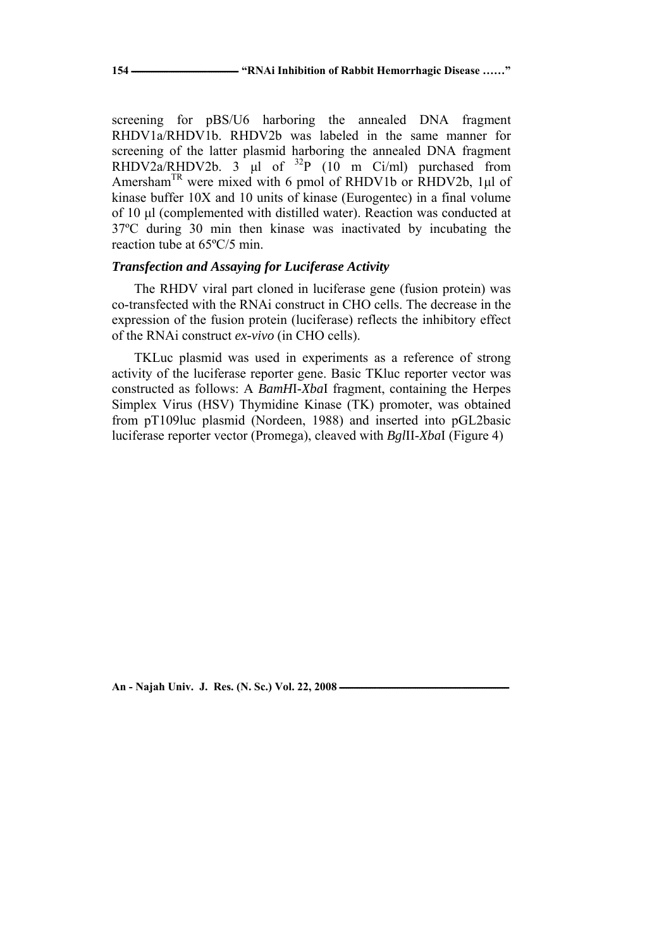screening for pBS/U6 harboring the annealed DNA fragment RHDV1a/RHDV1b. RHDV2b was labeled in the same manner for screening of the latter plasmid harboring the annealed DNA fragment RHDV2a/RHDV2b.  $3 \text{ }\mu\text{l}$  of  $32\text{P}$  (10 m Ci/ml) purchased from Amersham<sup>TR</sup> were mixed with 6 pmol of RHDV1b or RHDV2b, 1µl of kinase buffer 10X and 10 units of kinase (Eurogentec) in a final volume of 10 μl (complemented with distilled water). Reaction was conducted at 37ºC during 30 min then kinase was inactivated by incubating the reaction tube at 65ºC/5 min.

# *Transfection and Assaying for Luciferase Activity*

The RHDV viral part cloned in luciferase gene (fusion protein) was co-transfected with the RNAi construct in CHO cells. The decrease in the expression of the fusion protein (luciferase) reflects the inhibitory effect of the RNAi construct *ex-vivo* (in CHO cells).

TKLuc plasmid was used in experiments as a reference of strong activity of the luciferase reporter gene. Basic TKluc reporter vector was constructed as follows: A *BamH*I-*Xba*I fragment, containing the Herpes Simplex Virus (HSV) Thymidine Kinase (TK) promoter, was obtained from pT109luc plasmid (Nordeen, 1988) and inserted into pGL2basic luciferase reporter vector (Promega), cleaved with *Bgl*II-*Xba*I (Figure 4)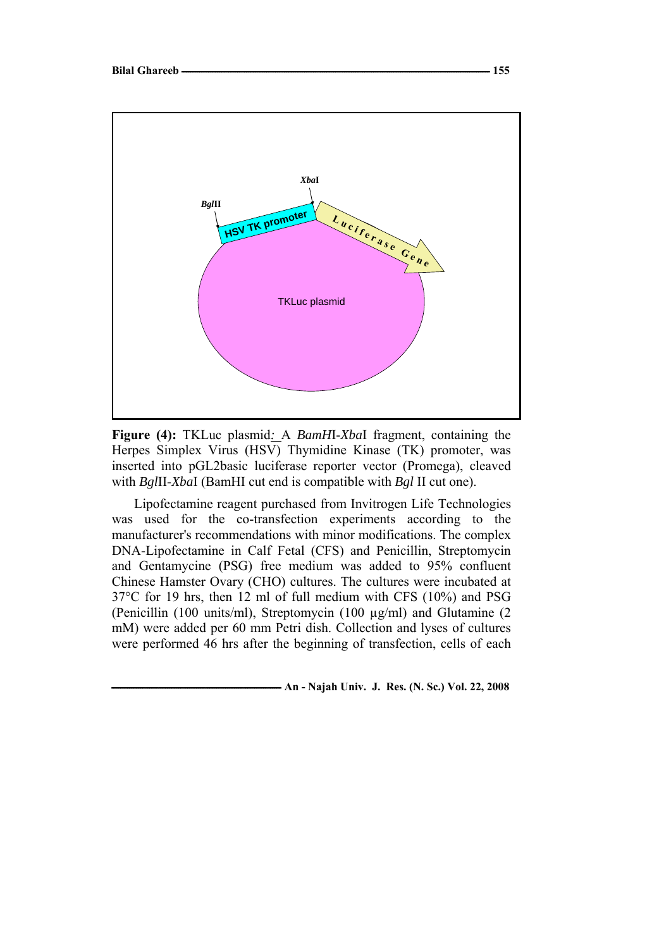

**Figure (4):** TKLuc plasmid*:* A *BamH*I-*Xba*I fragment, containing the Herpes Simplex Virus (HSV) Thymidine Kinase (TK) promoter, was inserted into pGL2basic luciferase reporter vector (Promega), cleaved with *Bgl*II-*Xba*I (BamHI cut end is compatible with *Bgl* II cut one).

Lipofectamine reagent purchased from Invitrogen Life Technologies was used for the co-transfection experiments according to the manufacturer's recommendations with minor modifications. The complex DNA-Lipofectamine in Calf Fetal (CFS) and Penicillin, Streptomycin and Gentamycine (PSG) free medium was added to 95% confluent Chinese Hamster Ovary (CHO) cultures. The cultures were incubated at 37°C for 19 hrs, then 12 ml of full medium with CFS (10%) and PSG (Penicillin (100 units/ml), Streptomycin (100 µg/ml) and Glutamine (2 mM) were added per 60 mm Petri dish. Collection and lyses of cultures were performed 46 hrs after the beginning of transfection, cells of each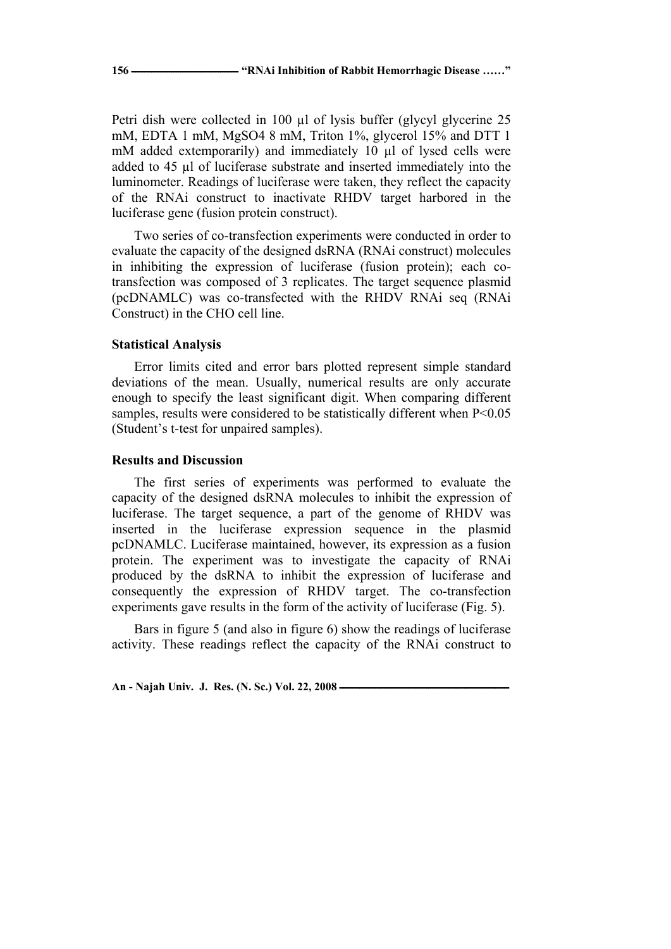Petri dish were collected in 100 µl of lysis buffer (glycyl glycerine 25 mM, EDTA 1 mM, MgSO4 8 mM, Triton 1%, glycerol 15% and DTT 1 mM added extemporarily) and immediately 10 µl of lysed cells were added to 45 µl of luciferase substrate and inserted immediately into the luminometer. Readings of luciferase were taken, they reflect the capacity of the RNAi construct to inactivate RHDV target harbored in the luciferase gene (fusion protein construct).

Two series of co-transfection experiments were conducted in order to evaluate the capacity of the designed dsRNA (RNAi construct) molecules in inhibiting the expression of luciferase (fusion protein); each cotransfection was composed of 3 replicates. The target sequence plasmid (pcDNAMLC) was co-transfected with the RHDV RNAi seq (RNAi Construct) in the CHO cell line.

### **Statistical Analysis**

Error limits cited and error bars plotted represent simple standard deviations of the mean. Usually, numerical results are only accurate enough to specify the least significant digit. When comparing different samples, results were considered to be statistically different when  $P<0.05$ (Student's t-test for unpaired samples).

### **Results and Discussion**

The first series of experiments was performed to evaluate the capacity of the designed dsRNA molecules to inhibit the expression of luciferase. The target sequence, a part of the genome of RHDV was inserted in the luciferase expression sequence in the plasmid pcDNAMLC. Luciferase maintained, however, its expression as a fusion protein. The experiment was to investigate the capacity of RNAi produced by the dsRNA to inhibit the expression of luciferase and consequently the expression of RHDV target. The co-transfection experiments gave results in the form of the activity of luciferase (Fig. 5).

Bars in figure 5 (and also in figure 6) show the readings of luciferase activity. These readings reflect the capacity of the RNAi construct to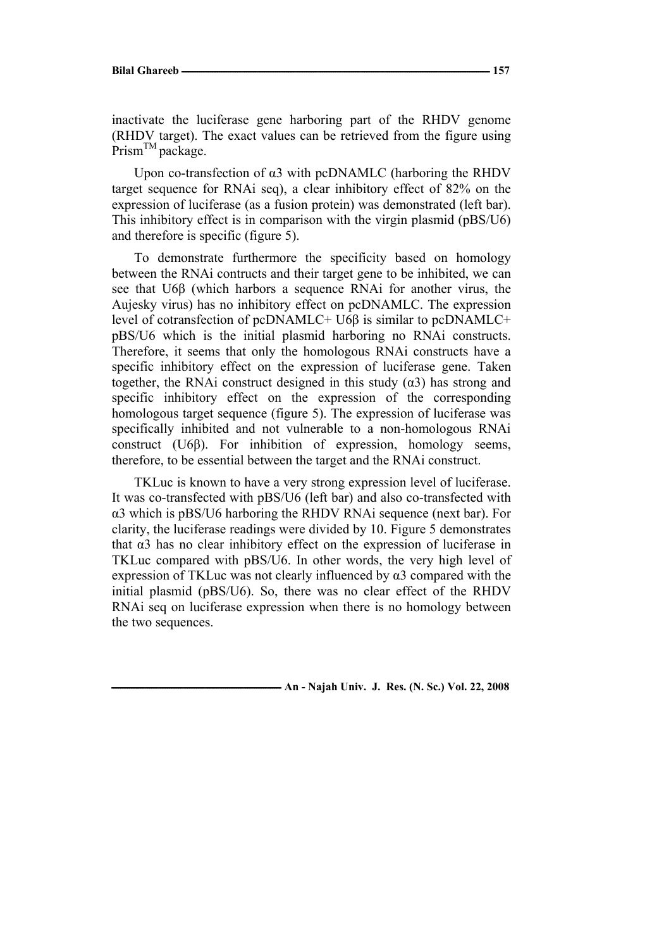inactivate the luciferase gene harboring part of the RHDV genome (RHDV target). The exact values can be retrieved from the figure using  $Prism^{TM}$  package.

Upon co-transfection of  $\alpha$ 3 with pcDNAMLC (harboring the RHDV target sequence for RNAi seq), a clear inhibitory effect of 82% on the expression of luciferase (as a fusion protein) was demonstrated (left bar). This inhibitory effect is in comparison with the virgin plasmid (pBS/U6) and therefore is specific (figure 5).

To demonstrate furthermore the specificity based on homology between the RNAi contructs and their target gene to be inhibited, we can see that U6β (which harbors a sequence RNAi for another virus, the Aujesky virus) has no inhibitory effect on pcDNAMLC. The expression level of cotransfection of pcDNAMLC+ U6β is similar to pcDNAMLC+ pBS/U6 which is the initial plasmid harboring no RNAi constructs. Therefore, it seems that only the homologous RNAi constructs have a specific inhibitory effect on the expression of luciferase gene. Taken together, the RNAi construct designed in this study  $(\alpha 3)$  has strong and specific inhibitory effect on the expression of the corresponding homologous target sequence (figure 5). The expression of luciferase was specifically inhibited and not vulnerable to a non-homologous RNAi construct (U6β). For inhibition of expression, homology seems, therefore, to be essential between the target and the RNAi construct.

TKLuc is known to have a very strong expression level of luciferase. It was co-transfected with pBS/U6 (left bar) and also co-transfected with α3 which is pBS/U6 harboring the RHDV RNAi sequence (next bar). For clarity, the luciferase readings were divided by 10. Figure 5 demonstrates that α3 has no clear inhibitory effect on the expression of luciferase in TKLuc compared with pBS/U6. In other words, the very high level of expression of TKLuc was not clearly influenced by  $\alpha$ 3 compared with the initial plasmid (pBS/U6). So, there was no clear effect of the RHDV RNAi seq on luciferase expression when there is no homology between the two sequences.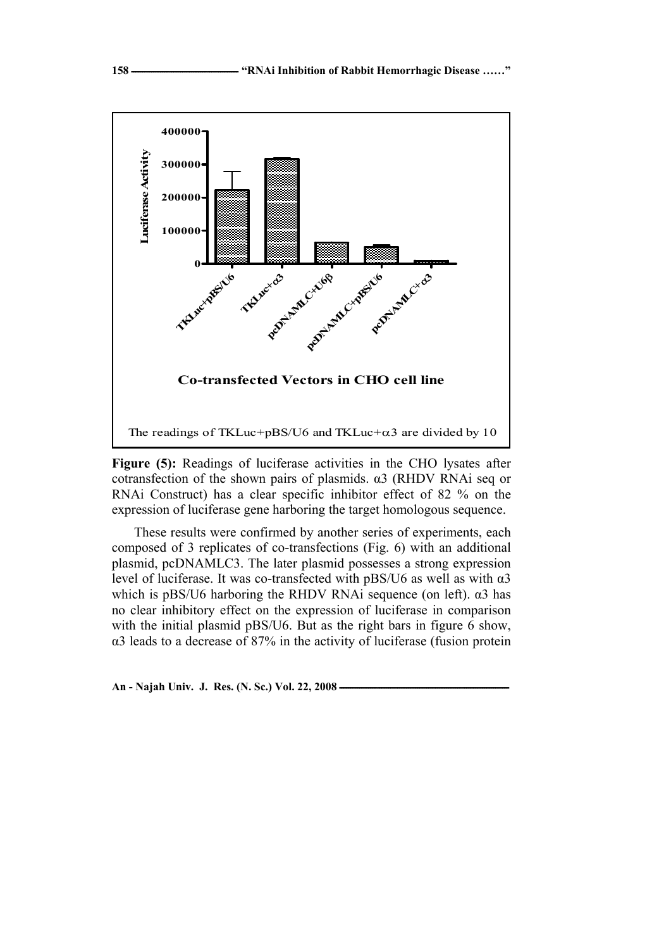

**Figure (5):** Readings of luciferase activities in the CHO lysates after cotransfection of the shown pairs of plasmids. α3 (RHDV RNAi seq or RNAi Construct) has a clear specific inhibitor effect of 82 % on the expression of luciferase gene harboring the target homologous sequence.

These results were confirmed by another series of experiments, each composed of 3 replicates of co-transfections (Fig. 6) with an additional plasmid, pcDNAMLC3. The later plasmid possesses a strong expression level of luciferase. It was co-transfected with pBS/U6 as well as with α3 which is pBS/U6 harboring the RHDV RNAi sequence (on left).  $\alpha$ 3 has no clear inhibitory effect on the expression of luciferase in comparison with the initial plasmid pBS/U6. But as the right bars in figure 6 show, α3 leads to a decrease of 87% in the activity of luciferase (fusion protein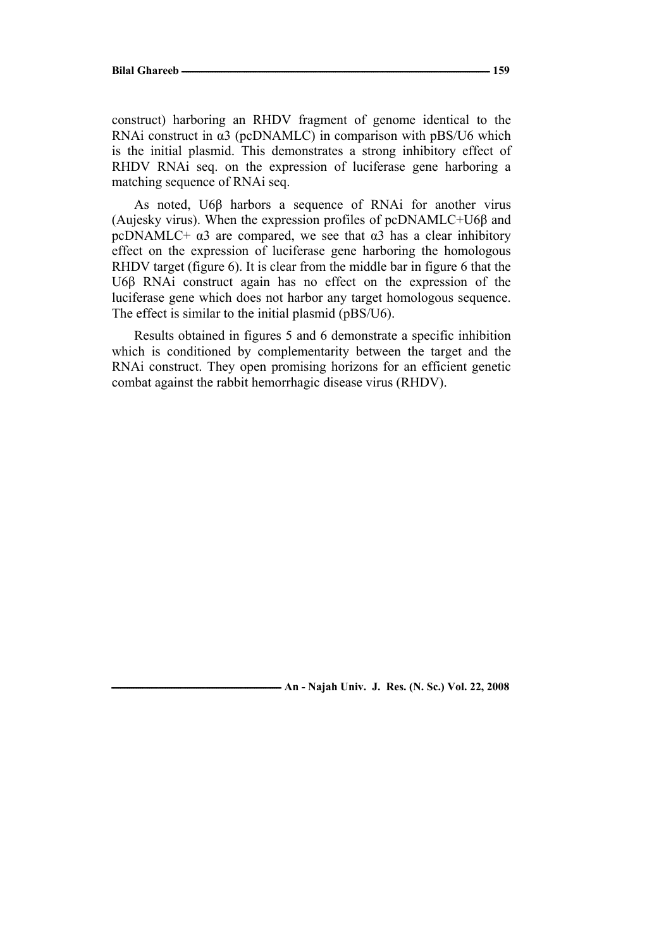construct) harboring an RHDV fragment of genome identical to the RNAi construct in α3 (pcDNAMLC) in comparison with pBS/U6 which is the initial plasmid. This demonstrates a strong inhibitory effect of RHDV RNAi seq. on the expression of luciferase gene harboring a matching sequence of RNAi seq.

As noted, U6β harbors a sequence of RNAi for another virus (Aujesky virus). When the expression profiles of pcDNAMLC+U6β and pcDNAMLC+  $\alpha$ 3 are compared, we see that  $\alpha$ 3 has a clear inhibitory effect on the expression of luciferase gene harboring the homologous RHDV target (figure 6). It is clear from the middle bar in figure 6 that the U6β RNAi construct again has no effect on the expression of the luciferase gene which does not harbor any target homologous sequence. The effect is similar to the initial plasmid (pBS/U6).

Results obtained in figures 5 and 6 demonstrate a specific inhibition which is conditioned by complementarity between the target and the RNAi construct. They open promising horizons for an efficient genetic combat against the rabbit hemorrhagic disease virus (RHDV).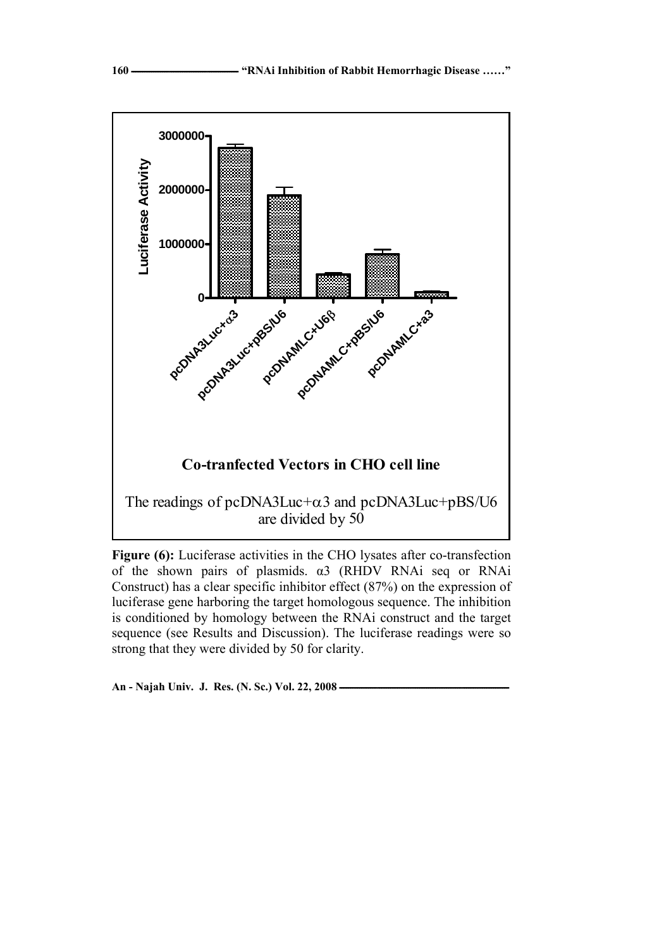

**Figure (6):** Luciferase activities in the CHO lysates after co-transfection of the shown pairs of plasmids. α3 (RHDV RNAi seq or RNAi Construct) has a clear specific inhibitor effect (87%) on the expression of luciferase gene harboring the target homologous sequence. The inhibition is conditioned by homology between the RNAi construct and the target sequence (see Results and Discussion). The luciferase readings were so strong that they were divided by 50 for clarity.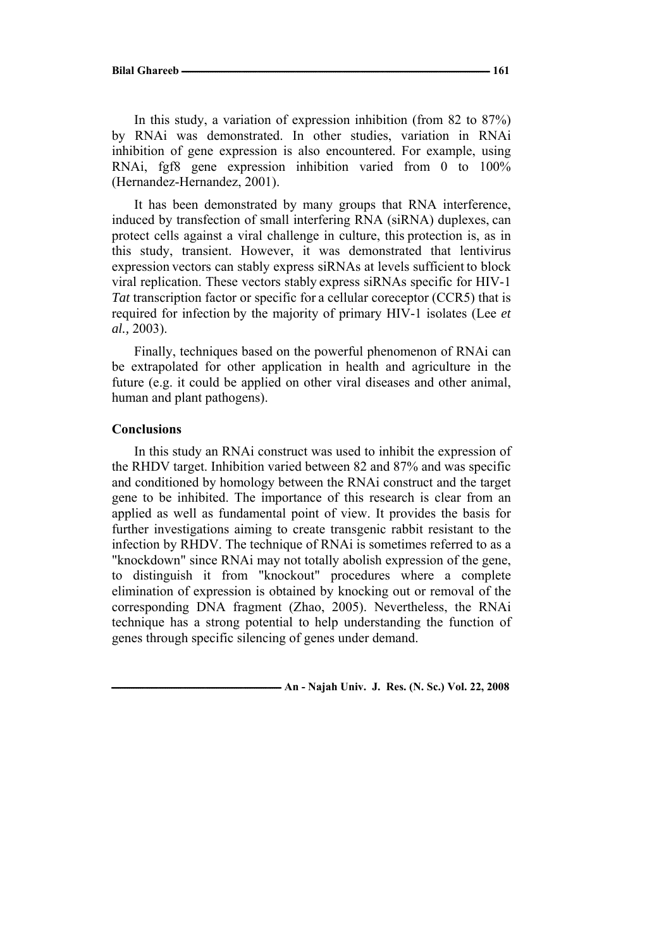In this study, a variation of expression inhibition (from 82 to 87%) by RNAi was demonstrated. In other studies, variation in RNAi inhibition of gene expression is also encountered. For example, using RNAi, fgf8 gene expression inhibition varied from 0 to 100% (Hernandez-Hernandez, 2001).

It has been demonstrated by many groups that RNA interference, induced by transfection of small interfering RNA (siRNA) duplexes, can protect cells against a viral challenge in culture, this protection is, as in this study, transient. However, it was demonstrated that lentivirus expression vectors can stably express siRNAs at levels sufficient to block viral replication. These vectors stably express siRNAs specific for HIV-1 *Tat* transcription factor or specific for a cellular coreceptor (CCR5) that is required for infection by the majority of primary HIV-1 isolates (Lee *et al.,* 2003).

Finally, techniques based on the powerful phenomenon of RNAi can be extrapolated for other application in health and agriculture in the future (e.g. it could be applied on other viral diseases and other animal, human and plant pathogens).

#### **Conclusions**

In this study an RNAi construct was used to inhibit the expression of the RHDV target. Inhibition varied between 82 and 87% and was specific and conditioned by homology between the RNAi construct and the target gene to be inhibited. The importance of this research is clear from an applied as well as fundamental point of view. It provides the basis for further investigations aiming to create transgenic rabbit resistant to the infection by RHDV. The technique of RNAi is sometimes referred to as a "knockdown" since RNAi may not totally abolish expression of the gene, to distinguish it from "knockout" procedures where a complete elimination of expression is obtained by knocking out or removal of the corresponding DNA fragment (Zhao, 2005). Nevertheless, the RNAi technique has a strong potential to help understanding the function of genes through specific silencing of genes under demand.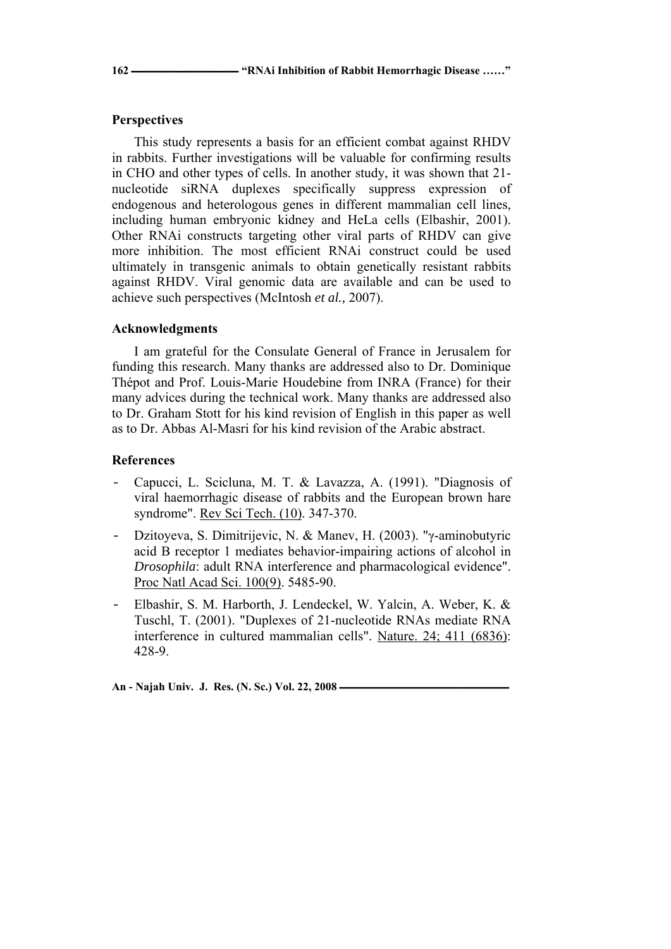# **Perspectives**

This study represents a basis for an efficient combat against RHDV in rabbits. Further investigations will be valuable for confirming results in CHO and other types of cells. In another study, it was shown that 21 nucleotide siRNA duplexes specifically suppress expression of endogenous and heterologous genes in different mammalian cell lines, including human embryonic kidney and HeLa cells (Elbashir, 2001). Other RNAi constructs targeting other viral parts of RHDV can give more inhibition. The most efficient RNAi construct could be used ultimately in transgenic animals to obtain genetically resistant rabbits against RHDV. Viral genomic data are available and can be used to achieve such perspectives (McIntosh *et al.,* 2007).

# **Acknowledgments**

I am grateful for the Consulate General of France in Jerusalem for funding this research. Many thanks are addressed also to Dr. Dominique Thépot and Prof. Louis-Marie Houdebine from INRA (France) for their many advices during the technical work. Many thanks are addressed also to Dr. Graham Stott for his kind revision of English in this paper as well as to Dr. Abbas Al-Masri for his kind revision of the Arabic abstract.

# **References**

- Capucci, L. Scicluna, M. T. & Lavazza, A. (1991). "Diagnosis of viral haemorrhagic disease of rabbits and the European brown hare syndrome". Rev Sci Tech. (10). 347-370.
- Dzitoyeva, S. Dimitrijevic, N. & Manev, H. (2003). "γ-aminobutyric acid B receptor 1 mediates behavior-impairing actions of alcohol in *Drosophila*: adult RNA interference and pharmacological evidence". Proc Natl Acad Sci. 100(9). 5485-90.
- Elbashir, S. M. Harborth, J. Lendeckel, W. Yalcin, A. Weber, K. & Tuschl, T. (2001). "Duplexes of 21-nucleotide RNAs mediate RNA interference in cultured mammalian cells". Nature. 24; 411 (6836): 428-9.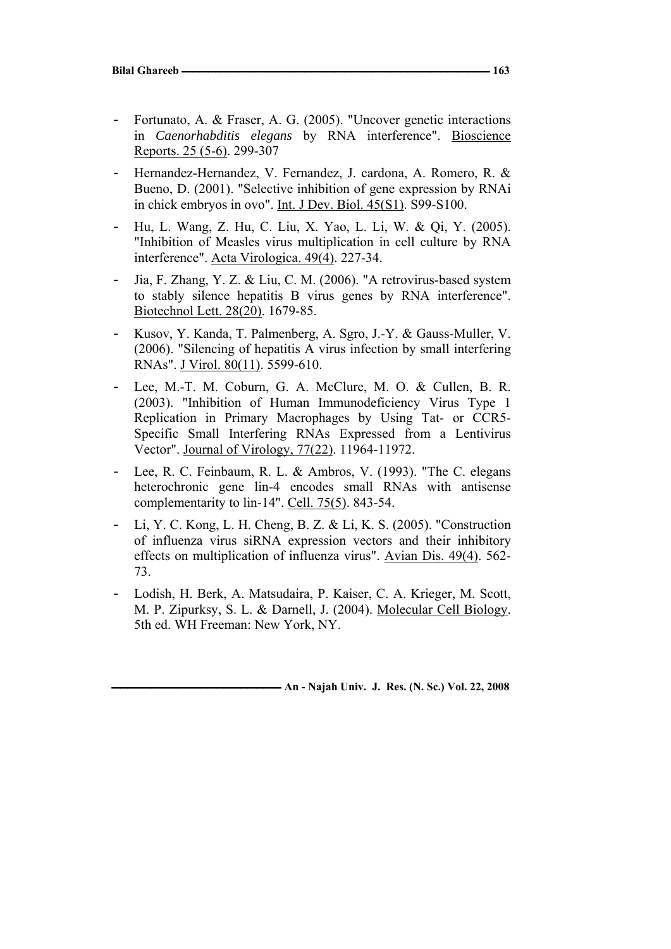- Fortunato, A. & Fraser, A. G. (2005). "Uncover genetic interactions in *Caenorhabditis elegans* by RNA interference". Bioscience Reports. 25 (5-6). 299-307
- Hernandez-Hernandez, V. Fernandez, J. cardona, A. Romero, R. & Bueno, D. (2001). "Selective inhibition of gene expression by RNAi in chick embryos in ovo". Int. J Dev. Biol. 45(S1). S99-S100.
- Hu, L. Wang, Z. Hu, C. Liu, X. Yao, L. Li, W. & Qi, Y. (2005). "Inhibition of Measles virus multiplication in cell culture by RNA interference". Acta Virologica. 49(4). 227-34.
- Jia, F. Zhang, Y. Z. & Liu, C. M. (2006). "A retrovirus-based system to stably silence hepatitis B virus genes by RNA interference". Biotechnol Lett. 28(20). 1679-85.
- Kusov, Y. Kanda, T. Palmenberg, A. Sgro, J.-Y. & Gauss-Muller, V. (2006). "Silencing of hepatitis A virus infection by small interfering RNAs". J Virol. 80(11). 5599-610.
- Lee, M.-T. M. Coburn, G. A. McClure, M. O. & Cullen, B. R. (2003). "Inhibition of Human Immunodeficiency Virus Type 1 Replication in Primary Macrophages by Using Tat- or CCR5- Specific Small Interfering RNAs Expressed from a Lentivirus Vector". Journal of Virology, 77(22). 11964-11972.
- Lee, R. C. Feinbaum, R. L. & Ambros, V. (1993). "The C. elegans heterochronic gene lin-4 encodes small RNAs with antisense complementarity to lin-14". Cell. 75(5). 843-54.
- Li, Y. C. Kong, L. H. Cheng, B. Z. & Li, K. S. (2005). "Construction of influenza virus siRNA expression vectors and their inhibitory effects on multiplication of influenza virus". Avian Dis. 49(4). 562- 73.
- Lodish, H. Berk, A. Matsudaira, P. Kaiser, C. A. Krieger, M. Scott, M. P. Zipurksy, S. L. & Darnell, J. (2004). Molecular Cell Biology. 5th ed. WH Freeman: New York, NY.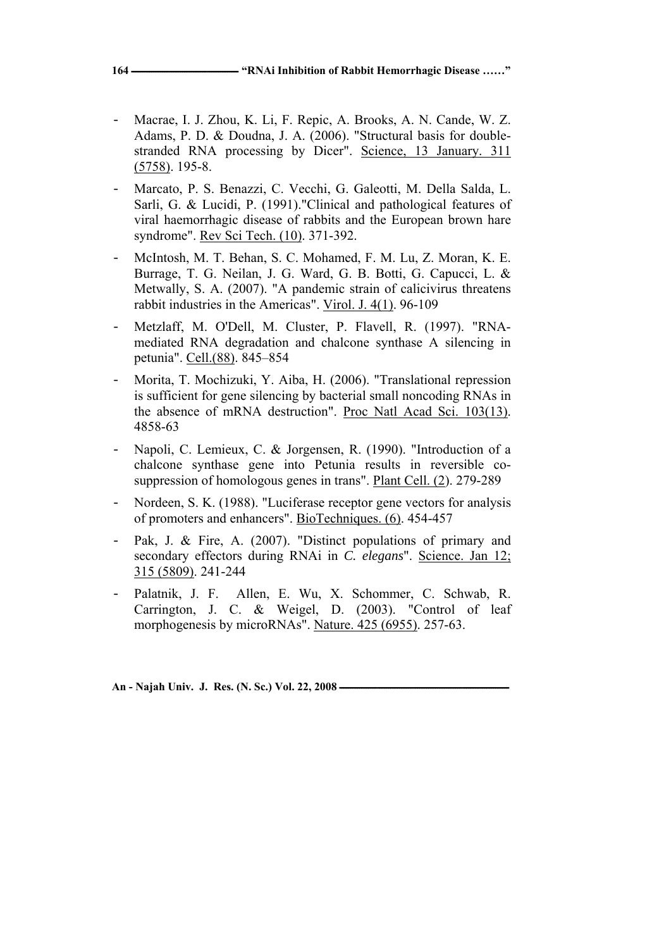- Macrae, I. J. Zhou, K. Li, F. Repic, A. Brooks, A. N. Cande, W. Z. Adams, P. D. & Doudna, J. A. (2006). "Structural basis for doublestranded RNA processing by Dicer". Science, 13 January. 311 (5758). 195-8.
- Marcato, P. S. Benazzi, C. Vecchi, G. Galeotti, M. Della Salda, L. Sarli, G. & Lucidi, P. (1991)."Clinical and pathological features of viral haemorrhagic disease of rabbits and the European brown hare syndrome". Rev Sci Tech. (10). 371-392.
- McIntosh, M. T. Behan, S. C. Mohamed, F. M. Lu, Z. Moran, K. E. Burrage, T. G. Neilan, J. G. Ward, G. B. Botti, G. Capucci, L. & Metwally, S. A. (2007). "A pandemic strain of calicivirus threatens rabbit industries in the Americas". Virol. J. 4(1). 96-109
- Metzlaff, M. O'Dell, M. Cluster, P. Flavell, R. (1997). "RNAmediated RNA degradation and chalcone synthase A silencing in petunia". Cell.(88). 845–854
- Morita, T. Mochizuki, Y. Aiba, H. (2006). "Translational repression is sufficient for gene silencing by bacterial small noncoding RNAs in the absence of mRNA destruction". Proc Natl Acad Sci. 103(13). 4858-63
- Napoli, C. Lemieux, C. & Jorgensen, R. (1990). "Introduction of a chalcone synthase gene into Petunia results in reversible cosuppression of homologous genes in trans". Plant Cell. (2). 279-289
- Nordeen, S. K. (1988). "Luciferase receptor gene vectors for analysis of promoters and enhancers". BioTechniques. (6). 454-457
- Pak, J. & Fire, A. (2007). "Distinct populations of primary and secondary effectors during RNAi in *C. elegans*". Science. Jan 12; 315 (5809). 241-244
- Palatnik, J. F. Allen, E. Wu, X. Schommer, C. Schwab, R. Carrington, J. C. & Weigel, D. (2003). "Control of leaf morphogenesis by microRNAs". Nature. 425 (6955). 257-63.